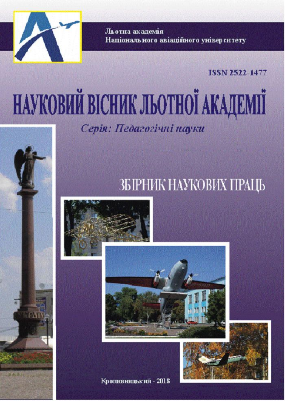

Льотна академія Національного авіаційного університету

**ISSN 2522-1477** 

# НАУКОВИЙ ВІСНИК ЛЬОТНОЇ АКАДЕМІЇ

Серія: Педагогічні науки

# ЗБІРНИК НАУКОВИХ ПРАЦЬ



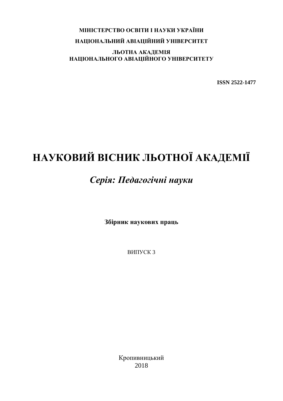## **МІНІСТЕРСТВО ОСВІТИ І НАУКИ УКРАЇНИ** НАЦІОНАЛЬНИЙ АВІАЦІЙНИЙ УНІВЕРСИТЕТ

ЛЬОТНА АКАДЕМІЯ НАЦІОНАЛЬНОГО АВІАЦІЙНОГО УНІВЕРСИТЕТУ

**ISSN 2522-1477** 

## НАУКОВИЙ ВІСНИК ЛЬОТНОЇ АКАДЕМІЇ

## Серія: Педагогічні науки

Збірник наукових праць

ВИПУСК 3

Кропивницький 2018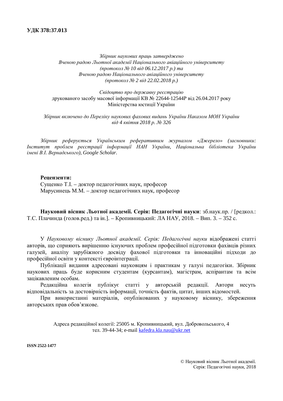$36$ iрник наукових праиь затверджено Вченою радою Льотної академії Національного авіаційного університету  $(npomoko\pi \n\leq 10 \text{ e}i\partial 06.12.2017 \text{ p.})$  ma Вченою радою Національного авіаційного університету  $(n\nu_{\text{EM}} \times \text{OM} \times \text{OM} \times 2 \text{ E} \times \text{OM} \times 2 \text{ O} \times 2 \text{ O} \times 2 \text{ O} \times 2 \text{ O} \times 2 \text{ O} \times 2 \text{ O} \times 2 \text{ O} \times 2 \text{ O} \times 2 \text{ O} \times 2 \text{ O} \times 2 \text{ O} \times 2 \text{ O} \times 2 \text{ O} \times 2 \text{ O} \times 2 \text{ O} \times 2 \text{ O} \times 2 \text{ O} \times 2 \text{ O} \times 2 \text{ O} \times 2 \text{ O}$ 

 $C$ відоитво про державну реєстрацію лрукованого засобу масової інформації КВ № 22644-12544Р віл 26.04.2017 року Міністерства юстиції України

Збірник включено до Переліку наукових фахових видань України Наказом МОН України  $\varepsilon$ *iд* 4 *к* $\varepsilon$ *imня* 2018  $p$ . № 326

Збірник реферується Українським реферативним журналом «Джерело» (засновники: *Институт проблем реєстрації інформації НАН України, Національна бібліотека України iмені В.І. Вернадського*), Google Scholar.

#### **Репензенти:**

Сущенко Т.І. – доктор педагогічних наук, професор Марусинець М.М. – доктор педагогічних наук, професор

Науковий вісник Льотної академії. Серія: Педагогічні науки: зб.наук.пр. / [редкол.: Т.С. Плачинда (голов.ред.) та ін.). – Кропивницький: ЛА НАУ, 2018. – Вип. 3. – 352 с.

У Науковому віснику Льотної академії. Серія: Педагогічні науки вілображені статті авторів, що сприяють вирішенню існуючих проблем професійної підготовки фахівців різних галузей, аналізу зарубіжного досвіду фахової підготовки та інноваційні підходи до професійної освіти у контексті євроінтеграції.

Публікації видання адресовані науковцям і практикам у галузі педагогіки. Збірник наукових праць буде корисним студентам (курсантам), магістрам, аспірантам та всім зацікавленим особам.

Редакційна колегія публікує статті у авторській редакції. Автори несуть відповідальність за достовірність інформації, точність фактів, цитат, інших відомостей.

При використанні матеріалів, опублікованих у науковому віснику, збереження авторських прав обов'язкове.

> Адреса редакційної колегії: 25005 м. Кропивницький, вул. Добровольського, 4 тел. 39-44-34; e-mail kafedra.kla.nau@ukr.net

**ISSN 2522-1477**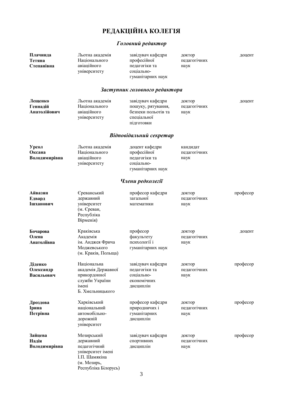## РЕДАКЦІЙНА КОЛЕГІЯ

## $\Gamma$ оловний редактор

| Плачинда<br>Тетяна<br>Степанівна    | Льотна академія<br>Національного<br>авіаційного<br>університету                                                      | завідувач кафедри<br>професійної<br>педагогіки та<br>соціально-<br>гуманітарних наук        | доктор<br>педагогічних<br>наук   | доцент   |
|-------------------------------------|----------------------------------------------------------------------------------------------------------------------|---------------------------------------------------------------------------------------------|----------------------------------|----------|
|                                     |                                                                                                                      | Заступник головного редактора                                                               |                                  |          |
| Лещенко<br>Геннадій<br>Анатолійович | Льотна академія<br>Національного<br>авіаційного<br>університету                                                      | завідувач кафедри<br>пошуку, рятування,<br>безпеки польотів та<br>спеціальної<br>підготовки | доктор<br>педагогічних<br>наук   | доцент   |
|                                     |                                                                                                                      | Відповідальний секретар                                                                     |                                  |          |
| Урсол<br>Оксана<br>Володимирівна    | Льотна академія<br>Національного<br>авіаційного<br>університету                                                      | доцент кафедри<br>професійної<br>педагогіки та<br>соціально-<br>гуманітарних наук           | кандидат<br>педагогічних<br>наук |          |
|                                     |                                                                                                                      | Члени редколегії                                                                            |                                  |          |
| Айвазян<br>Едвард<br>Ішханович      | Єреванський<br>державний<br>університет<br>(м. Єреван,<br>Республіка<br>Вірменія)                                    | професор кафедри<br>загальної<br>математики                                                 | доктор<br>педагогічних<br>наук   | професор |
| Бочарова<br>Олена<br>Анатоліївна    | Краківська<br>Академія<br>ім. Анджея Фрича<br>Моджевського<br>(м. Краків, Польща)                                    | професор<br>факультету<br>психології і<br>гуманітарних наук                                 | доктор<br>педагогічних<br>наук   | доцент   |
| Діденко<br>Олександр<br>Васильович  | Національна<br>академія Державної<br>прикордонної<br>служби України<br>імені<br>Б. Хмельницького                     | завідувач кафедри<br>педагогіки та<br>соціально-<br>економічних<br>дисциплін                | доктор<br>педагогічних<br>наук   | професор |
| Дроздова<br>Ірина<br>Петрівна       | Харківський<br>національний<br>автомобільно-<br>дорожній<br>університет                                              | професор кафедри<br>природничих і<br>гуманітарних<br>дисциплін                              | доктор<br>педагогічних<br>наук   | професор |
| Зайцева<br>Надія<br>Володимирівна   | Мозирський<br>державний<br>педагогічний<br>університет імені<br>І.П. Шамякіна<br>(м. Мозирь,<br>Республіка Білорусь) | завідувач кафедри<br>спортивних<br>дисциплін<br>3                                           | доктор<br>педагогічних<br>наук   | професор |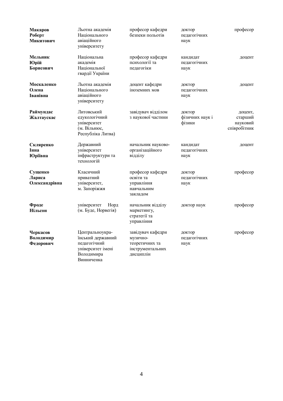| Макаров<br>Роберт<br>Микитович      | Льотна академія<br>Національного<br>авіаційного<br>університету                                       | професор кафедри<br>безпеки польотів                                             | доктор<br>педагогічних<br>наук      | професор                                       |
|-------------------------------------|-------------------------------------------------------------------------------------------------------|----------------------------------------------------------------------------------|-------------------------------------|------------------------------------------------|
| Мельник<br>Юрій<br>Борисович        | Національна<br>академія<br>Національної<br>гвардії України                                            | професор кафедри<br>психології та<br>педагогіки                                  | кандидат<br>педагогічних<br>наук    | доцент                                         |
| Москаленко<br>Олена<br>Іванівна     | Льотна академія<br>Національного<br>авіаційного<br>університету                                       | доцент кафедри<br>іноземних мов                                                  | доктор<br>педагогічних<br>наук      | доцент                                         |
| Раймундас<br>Жалтаускас             | Литовський<br>едукологічний<br>університет<br>(м. Вільнюс,<br>Республіка Литва)                       | завідувач відділом<br>з наукової частини                                         | доктор<br>фізичних наук і<br>фізики | доцент,<br>старший<br>науковий<br>співробітник |
| Скляренко<br>Інна<br><b>Юріївна</b> | Державний<br>університет<br>інфраструктури та<br>технологій                                           | начальник науково-<br>організаційного<br>відділу                                 | кандидат<br>педагогічних<br>наук    | доцент                                         |
| Сущенко<br>Лариса<br>Олександрівна  | Класичний<br>приватний<br>університет,<br>м. Запоріжжя                                                | професор кафедри<br>освіти та<br>управління<br>навчальним<br>закладом            | доктор<br>педагогічних<br>наук      | професор                                       |
| Фроде<br>Нільсон                    | університет<br>Норд<br>(м. Буде, Норвегія)                                                            | начальник відділу<br>маркетингу,<br>стратегії та<br>управління                   | доктор наук                         | професор                                       |
| Черкасов<br>Володимир<br>Федорович  | Центральноукра-<br>їнський державний<br>педагогічний<br>університет імені<br>Володимира<br>Винниченка | завідувач кафедри<br>музично-<br>теоретичних та<br>інструментальних<br>дисциплін | доктор<br>педагогічних<br>наук      | професор                                       |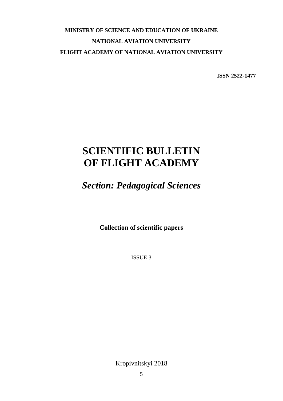## **MINISTRY OF SCIENCE AND EDUCATION OF UKRAINE NATIONAL AVIATION UNIVERSITY FLIGHT ACADEMY OF NATIONAL AVIATION UNIVERSITY**

**ISSN 2522-1477** 

## **SCIENTIFIC BULLETIN OF FLIGHT ACADEMY**

*Section: Pedagogical Sciences* 

**Collection of scientific papers** 

ISSUE 3

Kropivnitskyi 2018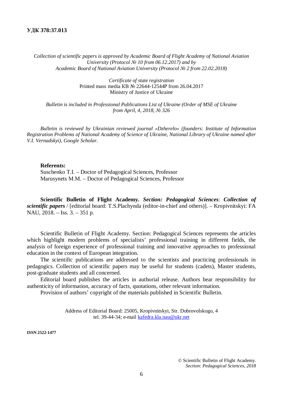*Collection of scientific papers is approved by Academic Board of Flight Academy of National Aviation University (Protocol ʋ 10 from 06.12.2017) and by Academic Board of National Aviation University (Protocol ʋ 2 from 22.02.2018)* 

> *Certificate of state registration*  Printed mass media KB № 22644-12544P from 26.04.2017 Ministry of Justice of Ukraine

*Bulletin is included in Professional Publications List of Ukraine (Order of MSE of Ukraine from April, 4, 2018,*  $\mathcal{N}$ *<sup><i>2326*</sup>

*Bulletin is reviewed by Ukrainian reviewed journal «Dzherelo» (founders: Institute of Information Registration Problems of National Academy of Science of Ukraine, National Library of Ukraine named after V.I. Vernadskyi), Google Scholar.* 

#### **Referents:**

Suschenko T.I. – Doctor of Pedagogical Sciences, Professor Marusynets M.M. – Doctor of Pedagogical Sciences, Professor

**Scientific Bulletin of Flight Academy.** *Section: Pedagogical Sciences*: *Collection of scientific papers* / [editorial board: T.S.Plachynda (editor-in-chief and others)]. – Kropivnitskyi: FA NAU, 2018. – Iss. 3. – 351 p.

Scientific Bulletin of Flight Academy. Section: Pedagogical Sciences represents the articles which highlight modern problems of specialists' professional training in different fields, the analysis of foreign experience of professional training and innovative approaches to professional education in the context of European integration.

The scientific publications are addressed to the scientists and practicing professionals in pedagogics. Collection of scientific papers may be useful for students (cadets), Master students, post-graduate students and all concerned.

Editorial board publishes the articles in authorial release. Authors bear responsibility for authenticity of information, accuracy of facts, quotations, other relevant information.

Provision of authors' copyright of the materials published in Scientific Bulletin.

Address of Editorial Board: 25005, Kropivnitskyi, Str. Dobrovolskogo, 4 tel. 39-44-34; e-mail kafedra.kla.nau@ukr.net

**ISSN 2522-1477**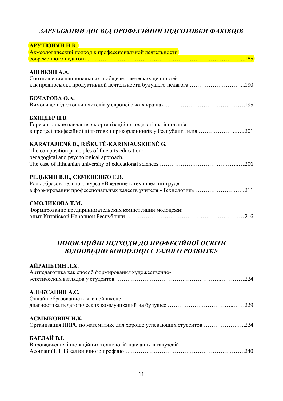## ЗАРУБІЖНИЙ ДОСВІД ПРОФЕСІЙНОЇ ПІДГОТОВКИ ФАХІВЦІВ

| АРУТЮНЯН Н.К.                                                          |
|------------------------------------------------------------------------|
| Акмеологический подход к профессиональной деятельности                 |
|                                                                        |
|                                                                        |
| АШИКЯН А.А.                                                            |
| Соотношения национальных и общечеловеческих ценностей                  |
|                                                                        |
| БОЧАРОВА О.А.                                                          |
|                                                                        |
|                                                                        |
| БХІНДЕР Н.В.                                                           |
| Горизонтальне навчання як організаційно-педагогічна інновація          |
| в процесі професійної підготовки прикордонників у Республіці Індія 201 |
| KARATAJIENĖ D., RIŠKUTĖ-KARINIAUSKIENĖ G.                              |
| The composition principles of fine arts education:                     |
| pedagogical and psychological approach.                                |
|                                                                        |
| РЕДЬКИН В.П., СЕМЕНЕНКО Е.В.                                           |
| Роль образовательного курса «Введение в технический труд»              |
| в формировании профессиональных качеств учителя «Технологии» 211       |
|                                                                        |
| СМОЛИКОВА Т.М.                                                         |
| Формирование предпринимательских компетенций молодежи:                 |
|                                                                        |

## ІННОВАЦІЙНІ ПІДХОДИ ДО ПРОФЕСІЙНОЇ ОСВІТИ *ȼȱȾɉɈȼȱȾɇɈɄɈɇɐȿɉɐȱȲɋɌȺɅɈȽɈɊɈɁȼɂɌɄɍ*

| АЙРАПЕТЯН Л.Х.<br>Артпедагогика как способ формирования художественно- |
|------------------------------------------------------------------------|
| АЛЕКСАНЯН А.С.                                                         |
| Онлайн образование в высшей школе:                                     |
|                                                                        |
| АСМЫКОВИЧ И.К.                                                         |
| Организация НИРС по математике для хорошо успевающих студентов 234     |
| БАГЛАЙ В.І.                                                            |
| Впровадження інноваційних технологій навчання в галузевій              |
|                                                                        |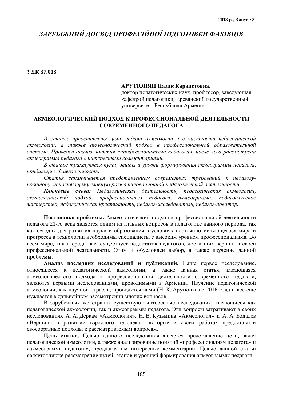## ЗАРУБІЖНИЙ ЛОСВІЛ ПРОФЕСІЙНОЇ ПІЛГОТОВКИ ФАХІВШВ

**ɍȾɄ 37.013** 

#### **ȺɊɍɌɘɇəɇɇɚɡɢɤɄɚɪɚɩɟɬɨɜɧɚ,**

доктор педагогических наук, профессор, заведующая кафедрой педагогики, Ереванский государственный университет, Республика Армения

### АКМЕОЛОГИЧЕСКИЙ ПОДХОД К ПРОФЕССИОНАЛЬНОЙ ДЕЯТЕЛЬНОСТИ СОВРЕМЕННОГО ПЕДАГОГА

В статье представлены иели, задачи акмеологии и в частности педагогической акмеологии, а также акмеологический подход в профессиональной образовательной системе. Проведен анализ понятия «профессионализма педагога», после чего рассмотрена *ɚɤɦɟɨɝɪɚɦɦɚɩɟɞɚɝɨɝɚɫɢɧɬɟɪɟɫɧɵɦɢɤɨɦɦɟɧɬɚɪɢɹɦɢ.* 

 $B$  статье трактуются пути, этапы и уровни формирования акмеограммы педагога, придающие ей целлостность.

Статья заканчивается представлением современных требований к педагогуноватору, исполняющему главную роль в инновационной педагогической деятельности.

**Ключевые слова:** Педагогическая деятельность, педагогическая акмеология,  $a$ кмеологический подход, профессионализм педагога, акмеограмма, педагогическое  $Macmepcme$ о, педагогическая креативность, педагог-исследователь, педагог-новатор.

Постановка проблемы. Акмеологический подход к профессиональной деятельности педагога 21-го века является одним из главных вопросов в педагогике данного периода, так как сегодня для развития науки и образования в условиях постоянно меняющегося мира и прогресса в технологии необходимы специалисты с высоким уровнем профессионализма. Во всем мире, как и среди нас, существует недостаток педагогов, достигших вершин в своей профессиональной деятельности. Этим и обусловлен выбор, а также изучение данной проблемы.

Анализ последних исследований и публикаций. Наше первое исследование, относящееся к педагогической акмеологии, а также данная статья, касающаяся акмеологического подхода к профессиональной деятельности современного педагога, являются первыми исследованиями, проводимыми в Армении. Изучение педагогической акмеологии, как научной отрасли, проводится нами (Н. К. Арутюнян) с 2016 года и все еще нуждается в дальнейшем рассмотрении многих вопросов.

В зарубежных же странах существуют интересные исследования, касающиеся как педагогической акмеологии, так и акмеограммы педагога. Эти вопросы затрагивают в своих исследованиях А. А. Деркач «Акмеология», Н. В. Кузьмина «Акмеология» и А. А. Бодалев «Вершина в развитии взрослого человека», которые в своих работах предоставили своеобразные подходы к рассматриваемым вопросам.

Цель статьи. Целью данного исследования является представление цели, задач педагогической акмеологии, а также анализирование понятий «профессионализм педагога» и «акмеограмма педагога», предлагая им интересные комментарии. Целью данной статьи является также рассматрение путей, этапов и уровней формирования акмеограммы педагога.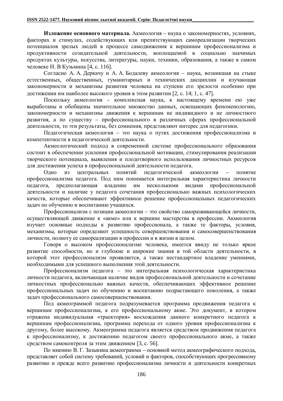Изл**ожение основного материала.** Акмеология – наука о закономерностях, условиях, факторах и стимулах, содействующих или препятствующих самореализации творческих потенциалов зрелых людей в процессе самодвижения к вершинам профессионализма и продуктивности созидательной деятельности, воплощаемой в социально значимых продуктах культуры, искусства, литературы, науки, техники, образования, а также в самом человеке Н. В Кузьмина [4, с. 116].

Согласно А. А. Деркачу и А. А. Бодалеву акмеология – наука, возникшая на стыке естественных, общественных, гуманитарных и технических дисциплин и изучающая закономерности и механизмы развития человека на ступени его зрелости особенно при достижении им наиболее высокого уровня в этом развитии [2, с. 14; 1, с. 47].

Поскольку акмеология – комплексная наука, к настоящему времени ею уже выработаны и обобщены значительное множество данных, освещающих феноменологию, закономерности и механизмы движения к вершинам не индивидного и не личностного развития, а по существу – профессионального в различных сферах профессиональной деятельности, то эти результаты, без сомнения, представляют интерес для педагогики.

Педагогическая акмеология – это наука о путях достижения профессионализма и компетентности в пелагогической леятельности.

Акмеологический подход в современной системе профессионального образования состоит в обеспечении усиления профессиональной мотивации, стимулирования реализации творческого потенциала, выявления и плодотворного использования личностных ресурсов для достижения успеха в профессиональной деятельности педагога.

Одно из центральных понятий педагогической акмеологии - понятие профессионализма педагога. Под ним понимается интегральная характеристика личности пелагога, предполагающая владение им несколькими видами профессиональной деятельности и наличие у педагога сочетания профессионально важных психологических качеств, которые обеспечивают эффективное решение профессиональных педагогических задач по обучению и воспитанию учащихся.

Профессионализм с позиции акмеологии – это свойство саморазвивающейся личности, осуществляющей движение к «акме» или к вершине мастерства в профессии. Акмеология изучает основные подходы к развитию профессионала, а также те факторы, условия, механизмы, которые определяют успешность совершенствования и самосовершенствования личности, полноту ее самореализации в профессии и в жизни в целом.

Говоря о высоком профессионализме человека, имеется ввиду не только яркое развитие способности, но и глубокие и широкие знания в той области деятельности, в которой этот профессионализм проявляется, а также нестандартное владение умениями, необходимыми для успешного выполнения этой деятельности.

Профессионализм педагога – это интегральная психологическая характеристика личности педагога, включающая наличие видов профессиональной деятельности и сочетание личностных профессионально важных качеств, обеспечивающих эффективное решение профессиональных задач по обучению и воспитанию подрастающего поколения, а также задач профессионального самосовершенствования.

Под акмеограммой педагога подразумевается программа продвижения педагога к вершинам профессионализма, к его профессиональному акме. Это документ, в котором отражена индивидуальная «траектория» восхождения данного конкретного педагога к вершинам профессионализма, программа перехода от одного уровня профессионализма к другому, более высокому. Акмеограмма педагога является средством продвижения педагога к профессионализму, к достижению педагогом своего профессионального акме, а также средством самоконтроля за этим движением [3, с. 56].

По мнению В. Г. Зазыкина акмеограмма – основной метод акмеографического подхода, представляет собой систему требований, условий и факторов, способствующих прогрессивному развитию и прежде всего развитию профессионализма личности и деятельности конкретных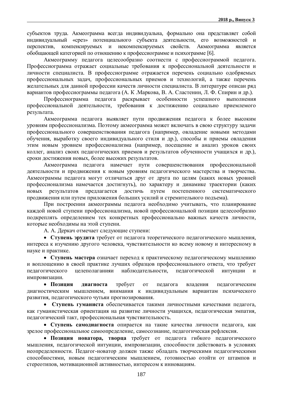субъектов труда. Акмеограмма всегда индивидуальна, формально она представляет собой индивидуальный «срез» потенциального субъекта деятельности, его возможностей и перспектив, компенсируемых и некомпенсируемых свойств. Акмеограмма является обобщающей категорией по отношению к профессиограмме и психограмме [6].

Акмеограмму педагога целесообразно соотнести с профессиограммой педагога. Профессиограмма отражает социальные требования к профессиональной деятельности и личности специалиста. В профессиограмме отражается перечень социально одобряемых профессиональных задач, профессиональных приемов и технологий, а также перечень желательных для данной профессии качеств личности специалиста. В литературе описан ряд вариантов профессиограммы педагога (А. К. Маркова, В. А. Сластенин, Л. Ф. Спирин и др.).

Профессиограмма педагога раскрывает особенности успешного выполнения профессиональной деятельности, требования к достижению социально приемлемого результата.

Акмеограмма педагога выявляет пути продвижения педагога к более высоким уровням профессионализма. Поэтому акмеограмма может включать в свою структуру задачи профессионального совершенствования педагога (например, овладение новыми методами обучения, выработку своего индивидуального стиля и др.), способы и приемы овладения этим новым уровнем профессионализма (например, посещение и анализ уроков своих коллег, анализ своих педагогических приемов и результатов обученности учащихся и др.), сроки достижения новых, более высоких результатов.

Акмеограмма педагога намечает пути совершенствования профессиональной деятельности и продвижения к новым уровням педагогического мастерства и творчества. Акмеограммы педагога могут отличаться друг от друга по целям (каких новых уровней профессионализма намечается достигнуть), по характеру и динамике траектории (каких новых результатов предлагается достичь путем постепенного систематического продвижения или путем приложения больших усилий и стремительного подъема).

При построении акмеограммы педагога необходимо учитывать, что планирование каждой новой ступени профессионализма, новой профессиональной позиции целесообразно подкреплять определением тех конкретных профессионально важных качеств личности, которые необходимы на этой ступени.

А. А. Деркач отмечает следующие ступени:

• Ступень эрулита требует от пелагога теоретического пелагогического мышления. интереса к изучению другого человека, чувствительности ко всему новому и интересному в науке и практике.

• Ступень мастера означает переход к практическому педагогическому мышлению и воплощению в своей практике лучших образцов профессионального ответа, что требует пелагогического нелеполаганияи наблюлательности, пелагогической интуиции и импровизации.

• Позиция диагноста требует от педагога владения педагогическим диагностическим мышлением, внимания к индивидуальным вариантам психического развития, педагогического чутьяи прогнозирования.

• Ступень гуманиста обеспечивается такими личностными качествами педагога, как гуманистическая ориентация на развитие личности учащихся, педагогическая эмпатия, педагогический такт, профессиональная чувствительность.

• Ступень самодиагноста опирается на такие качества личности педагога, как зрелое профессиональное самоопределение, самосознание, педагогическая рефлексия.

• Позиция новатора, творца требует от педагога гибкого педагогического мышления, педагогической интуиции, импровизации, способности действовать в условиях неопределенности. Педагог-новатор должен также обладать творческими педагогическими способностями, новым педагогическим мышлением, готовностью отойти от штампов и стереотипов, мотивационной активностью, интересом к инновациям.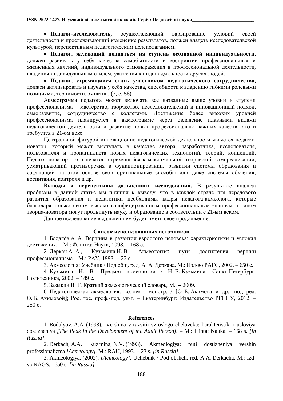• Педагог-исследователь, осуществляющий варьирование условий своей деятельности и прослеживающий изменение результатов, должен владеть исследовательской культурой, перспективным педагогическим целеполаганием.

• Педагог, желающий подняться на ступень осознанной индивидуальности, должен развивать у себя качества самобытности в восприятии профессиональных и жизненных явлений, индивидуального самовыражения в профессиональной деятельности, владения индивидуальным стилем, уважения к индивидуальности других людей.

• Педагог, стремящийся стать участником педагогического сотрудничества, должен анализировать и изучать у себя качества, способности к владению гибкими ролевыми позициями, терпимости, эмпатии. (3, с. 56)

Акмеограмма педагога может включать все названные выше уровни и ступени профессионализма – мастерство, творчество, исследовательский и инновационный подход, саморазвитие, сотрудничество с коллегами. Достижение более высоких уровней профессионализма планируется в акмеограмме через овладение плавными видами педагогической деятельности и развитие новых профессионально важных качеств, что и требуется в 21-ом веке.

Шентральной фигурой инновационно-пелагогической леятельности является пелагогноватор, который может выступать в качестве автора, разработчика, исследователя, пользователя и пропагандиста новых педагогических технологий, теорий, концепций. Педагог-новатор – это педагог, стремящийся к максимальной творческой самореализации, усматривающий противоречия в функционировании, развитии системы образования и создающий на этой основе свои оригинальные способы или даже системы обучения, воспитания, контроля и др.

**Выводы и перспективы дальнейших исследований.** В результате анализа проблемы в данной статье мы пришли к выводу, что в каждой стране для передового развития образования и педагогики необходимы кадры педагога-акмеолога, которые благодаря только своим высококвалифицированным профессиональным знаниям и типом творца-новатора могут продвинуть науку и образование в соответствии с 21-ым веком.

Данное исследование в дальнейшем будет иметь свое продолжение.

#### Список использованных источников

1. Бодалёв А. А. Вершина в развитии взрослого человека: характеристики и условия достижения. – М.: Флинта: Наука, 1998. – 168 с.

2. Деркач А. А., Кузьмина Н. В. Акмеология: пути достижения вершин профессионализма – М.: РАУ, 1993. – 23 с.

3. Акмеология: Учебник / Под общ. ред. А. А. Деркача. М.: Изд-во РАГС, 2002. – 650 с.

4. Кузьмина Н. В. Предмет акмеологии / Н. В. Кузьмина. Санкт-Петербург: Политехника, 2002. – 189 с.

5. Зазыкин В. Г. Краткий акмеологический словарь, М., - 2009.

6. Педагогическая акмеология: коллект. моногр. / [О. Б. Акимова и др.; под ред. О. Б. Акимовой]; Рос. гос. проф.-пед. ун-т. – Екатеринбург: Издательство РГППУ, 2012. –  $250 c.$ 

#### **References**

1. Bodalyov, A.A. (1998)., Vershina v razvitii vzroslogo cheloveka: harakteristiki i usloviya dostizheniya *[The Peak in the Development of the Adult Person].* – M.: Flinta: Nauka. – 168 s. *[in Russia].*

2. Derkach, A.A. Kuz'mina, N.V. (1993). Akmeologiya: puti dostizheniya vershin professionalizma *[Acmeology].* M.: RAU, 1993. 23 s. *[in Russia].*

3. Akmeologiya, (2002). *[Acmeology].* Uchebnik / Pod obshch. red. A.A. Derkacha. M.: Izdvo RAGS.– 650 s. *[in Russia].*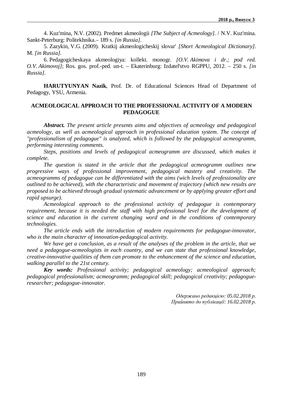4. Kuz'mina, N.V. (2002). Predmet akmeologii *[The Subject of Acmeology].* / N.V. Kuz'mina. Sankt-Peterburg: Politekhnika.– 189 s. *[in Russia].*

5. Zazykin, V.G. (2009). Kratkij akmeologicheskij slovar' *[Short Acmeological Dictionary].* M. *[in Russia].*

6. Pedagogicheskaya akmeologiya: kollekt. monogr. *[O.V. Akimova i dr.; pod red. O.V. Akimovoj]*; Ros. gos. prof.-ped. un-t. – Ekaterinburg: Izdatel'stvo RGPPU, 2012. – 250 s. *[in Russia].*

**HARUTYUNYAN Nazik**, Prof. Dr. of Educational Sciences Head of Department of Pedagogy, YSU, Armenia.

#### **ACMEOLOGICAL APPROACH TO THE PROFESSIONAL ACTIVITY OF A MODERN PEDAGOGUE**

*Abstract. The present article presents aims and objectives of acmeology and pedagogical acmeology, as well as acmeological approach in professional education system. The concept of "professionalism of pedagogue" is analyzed, which is followed by the pedagogical acmeogramm, performing interesting comments.* 

*Steps, positions and levels of pedagogical acmeogramm are discussed, which makes it complete.* 

*The question is stated in the article that the pedagogical acmeogramm outlines new progressive ways of professional improvement, pedagogical mastery and creativity. The acmeogramms of pedagogue can be differentiated with the aims (wich levels of professionality are outlined to be achieved), with the characteristic and movement of trajectory (which new results are proposed to be achieved through gradual systematic advancement or by applying greater effort and rapid upsurge).* 

*Acmeological approach to the professional activity of pedagogue is contemporary requirement, because it is needed the staff with high professional level for the development of science and education in the current changing word and in the conditions of contemporary technologies.* 

*The article ends with the introduction of modern requirements for pedagogue-innovator, who is the main character of innovation-pedagogical activity.* 

*We have get a conclusion, as a result of the analyses of the problem in the article, that we need a pedagogue-acmeologists in each country, and we can state that professional knowledge, creative-innovative qualities of them can promote to the enhancement of the science and education, walking parallel to the 21st century.* 

*Key words: Professional activity; pedagogical acmeology; acmeological approach; pedagogical professionalism; acmeogramm; pedagogical skill; pedagogical creativity; pedagogueresearcher; pedagogue-innovator.* 

> *Ɉɞɟɪɠɚɧɨɪɟɞɚɤɰɿɽɸ: 05.02.2018 ɪ. ɉɪɢɣɧɹɬɨɞɨɩɭɛɥɿɤɚɰɿʀ: 16.02.2018 ɪ.*